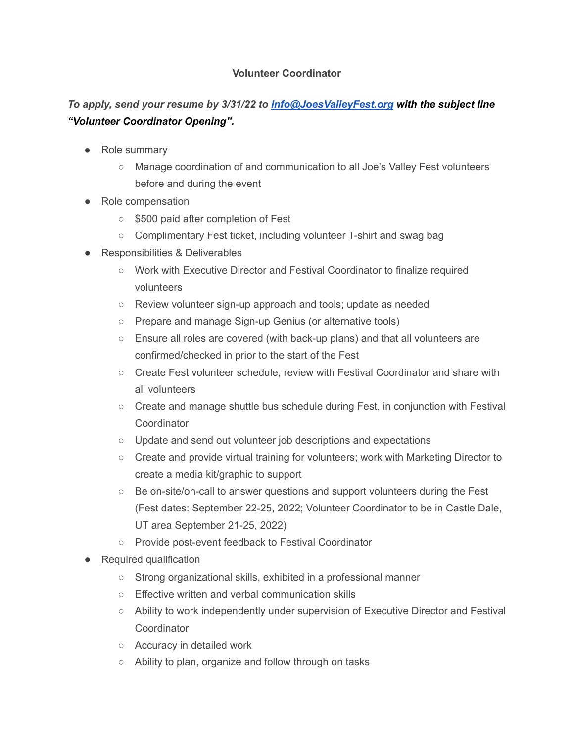## **Volunteer Coordinator**

## *To apply, send your resume by 3/31/22 to [Info@JoesValleyFest.org](mailto:Info@JoesValleyFest.org) with the subject line "Volunteer Coordinator Opening".*

- Role summary
	- Manage coordination of and communication to all Joe's Valley Fest volunteers before and during the event
- Role compensation
	- \$500 paid after completion of Fest
	- Complimentary Fest ticket, including volunteer T-shirt and swag bag
- Responsibilities & Deliverables
	- Work with Executive Director and Festival Coordinator to finalize required volunteers
	- Review volunteer sign-up approach and tools; update as needed
	- Prepare and manage Sign-up Genius (or alternative tools)
	- Ensure all roles are covered (with back-up plans) and that all volunteers are confirmed/checked in prior to the start of the Fest
	- Create Fest volunteer schedule, review with Festival Coordinator and share with all volunteers
	- Create and manage shuttle bus schedule during Fest, in conjunction with Festival **Coordinator**
	- Update and send out volunteer job descriptions and expectations
	- Create and provide virtual training for volunteers; work with Marketing Director to create a media kit/graphic to support
	- Be on-site/on-call to answer questions and support volunteers during the Fest (Fest dates: September 22-25, 2022; Volunteer Coordinator to be in Castle Dale, UT area September 21-25, 2022)
	- Provide post-event feedback to Festival Coordinator
- Required qualification
	- Strong organizational skills, exhibited in a professional manner
	- Effective written and verbal communication skills
	- Ability to work independently under supervision of Executive Director and Festival **Coordinator**
	- Accuracy in detailed work
	- Ability to plan, organize and follow through on tasks